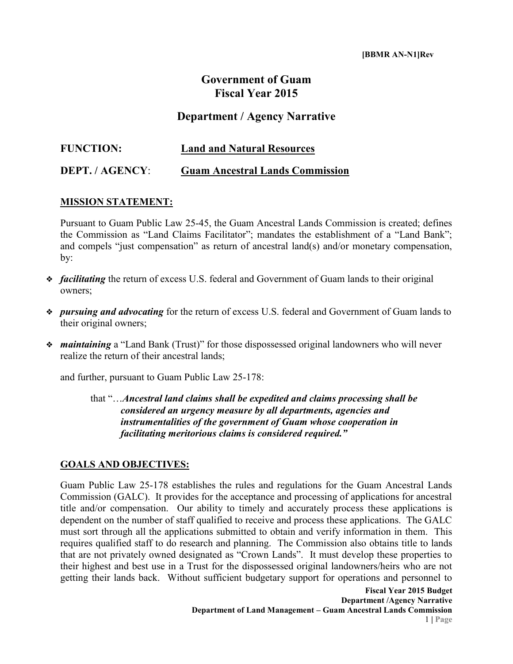## **Government of Guam Fiscal Year 2015**

## **Department / Agency Narrative**

| <b>FUNCTION:</b> | <b>Land and Natural Resources</b>      |
|------------------|----------------------------------------|
| DEPT. / AGENCY:  | <b>Guam Ancestral Lands Commission</b> |

## **MISSION STATEMENT:**

Pursuant to Guam Public Law 25-45, the Guam Ancestral Lands Commission is created; defines the Commission as "Land Claims Facilitator"; mandates the establishment of a "Land Bank"; and compels "just compensation" as return of ancestral land(s) and/or monetary compensation, by:

- ❖ *facilitating* the return of excess U.S. federal and Government of Guam lands to their original owners;
- ❖ *pursuing and advocating* for the return of excess U.S. federal and Government of Guam lands to their original owners;
- ❖ *maintaining* a "Land Bank (Trust)" for those dispossessed original landowners who will never realize the return of their ancestral lands;

and further, pursuant to Guam Public Law 25-178:

that "…*Ancestral land claims shall be expedited and claims processing shall be considered an urgency measure by all departments, agencies and instrumentalities of the government of Guam whose cooperation in facilitating meritorious claims is considered required."*

## **GOALS AND OBJECTIVES:**

Guam Public Law 25-178 establishes the rules and regulations for the Guam Ancestral Lands Commission (GALC). It provides for the acceptance and processing of applications for ancestral title and/or compensation. Our ability to timely and accurately process these applications is dependent on the number of staff qualified to receive and process these applications. The GALC must sort through all the applications submitted to obtain and verify information in them. This requires qualified staff to do research and planning. The Commission also obtains title to lands that are not privately owned designated as "Crown Lands". It must develop these properties to their highest and best use in a Trust for the dispossessed original landowners/heirs who are not getting their lands back. Without sufficient budgetary support for operations and personnel to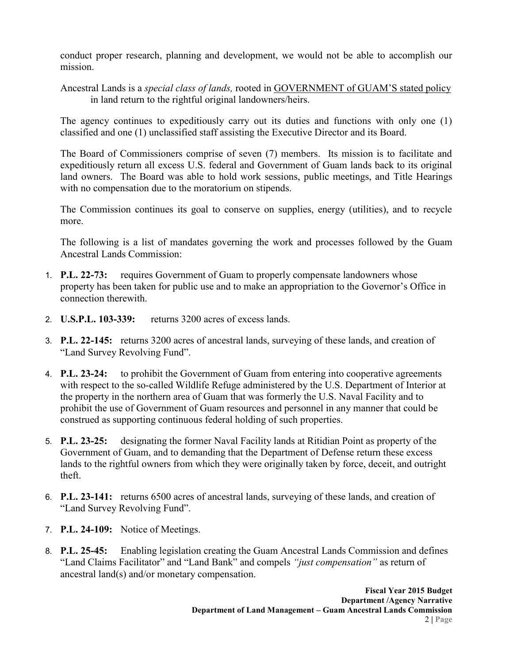conduct proper research, planning and development, we would not be able to accomplish our mission.

Ancestral Lands is a *special class of lands,* rooted in GOVERNMENT of GUAM'S stated policy in land return to the rightful original landowners/heirs.

The agency continues to expeditiously carry out its duties and functions with only one (1) classified and one (1) unclassified staff assisting the Executive Director and its Board.

The Board of Commissioners comprise of seven (7) members. Its mission is to facilitate and expeditiously return all excess U.S. federal and Government of Guam lands back to its original land owners. The Board was able to hold work sessions, public meetings, and Title Hearings with no compensation due to the moratorium on stipends.

The Commission continues its goal to conserve on supplies, energy (utilities), and to recycle more.

The following is a list of mandates governing the work and processes followed by the Guam Ancestral Lands Commission:

- 1. **P.L. 22-73:** requires Government of Guam to properly compensate landowners whose property has been taken for public use and to make an appropriation to the Governor's Office in connection therewith.
- 2. **U.S.P.L. 103-339:** returns 3200 acres of excess lands.
- 3. **P.L. 22-145:** returns 3200 acres of ancestral lands, surveying of these lands, and creation of "Land Survey Revolving Fund".
- 4. **P.L. 23-24:** to prohibit the Government of Guam from entering into cooperative agreements with respect to the so-called Wildlife Refuge administered by the U.S. Department of Interior at the property in the northern area of Guam that was formerly the U.S. Naval Facility and to prohibit the use of Government of Guam resources and personnel in any manner that could be construed as supporting continuous federal holding of such properties.
- 5. **P.L. 23-25:** designating the former Naval Facility lands at Ritidian Point as property of the Government of Guam, and to demanding that the Department of Defense return these excess lands to the rightful owners from which they were originally taken by force, deceit, and outright theft.
- 6. **P.L. 23-141:** returns 6500 acres of ancestral lands, surveying of these lands, and creation of "Land Survey Revolving Fund".
- 7. **P.L. 24-109:** Notice of Meetings.
- 8. **P.L. 25-45:** Enabling legislation creating the Guam Ancestral Lands Commission and defines "Land Claims Facilitator" and "Land Bank" and compels *"just compensation"* as return of ancestral land(s) and/or monetary compensation.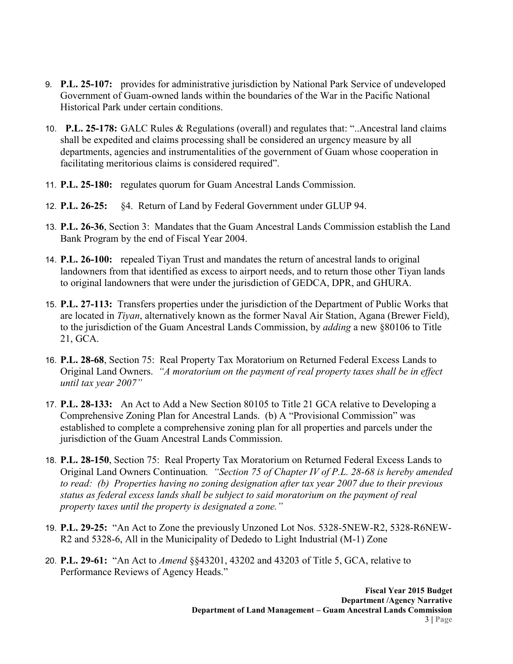- 9. **P.L. 25-107:** provides for administrative jurisdiction by National Park Service of undeveloped Government of Guam-owned lands within the boundaries of the War in the Pacific National Historical Park under certain conditions.
- 10. **P.L. 25-178:** GALC Rules & Regulations (overall) and regulates that: "..Ancestral land claims shall be expedited and claims processing shall be considered an urgency measure by all departments, agencies and instrumentalities of the government of Guam whose cooperation in facilitating meritorious claims is considered required".
- 11. **P.L. 25-180:** regulates quorum for Guam Ancestral Lands Commission.
- 12. **P.L. 26-25:** §4. Return of Land by Federal Government under GLUP 94.
- 13. **P.L. 26-36**, Section 3: Mandates that the Guam Ancestral Lands Commission establish the Land Bank Program by the end of Fiscal Year 2004.
- 14. **P.L. 26-100:** repealed Tiyan Trust and mandates the return of ancestral lands to original landowners from that identified as excess to airport needs, and to return those other Tiyan lands to original landowners that were under the jurisdiction of GEDCA, DPR, and GHURA.
- 15. **P.L. 27-113:** Transfers properties under the jurisdiction of the Department of Public Works that are located in *Tiyan*, alternatively known as the former Naval Air Station, Agana (Brewer Field), to the jurisdiction of the Guam Ancestral Lands Commission, by *adding* a new §80106 to Title 21, GCA.
- 16. **P.L. 28-68**, Section 75: Real Property Tax Moratorium on Returned Federal Excess Lands to Original Land Owners. *"A moratorium on the payment of real property taxes shall be in effect until tax year 2007"*
- 17. **P.L. 28-133:** An Act to Add a New Section 80105 to Title 21 GCA relative to Developing a Comprehensive Zoning Plan for Ancestral Lands. (b) A "Provisional Commission" was established to complete a comprehensive zoning plan for all properties and parcels under the jurisdiction of the Guam Ancestral Lands Commission.
- 18. **P.L. 28-150**, Section 75: Real Property Tax Moratorium on Returned Federal Excess Lands to Original Land Owners Continuation*. "Section 75 of Chapter IV of P.L. 28-68 is hereby amended to read: (b) Properties having no zoning designation after tax year 2007 due to their previous status as federal excess lands shall be subject to said moratorium on the payment of real property taxes until the property is designated a zone."*
- 19. **P.L. 29-25:** "An Act to Zone the previously Unzoned Lot Nos. 5328-5NEW-R2, 5328-R6NEW-R2 and 5328-6, All in the Municipality of Dededo to Light Industrial (M-1) Zone
- 20. **P.L. 29-61:** "An Act to *Amend* §§43201, 43202 and 43203 of Title 5, GCA, relative to Performance Reviews of Agency Heads."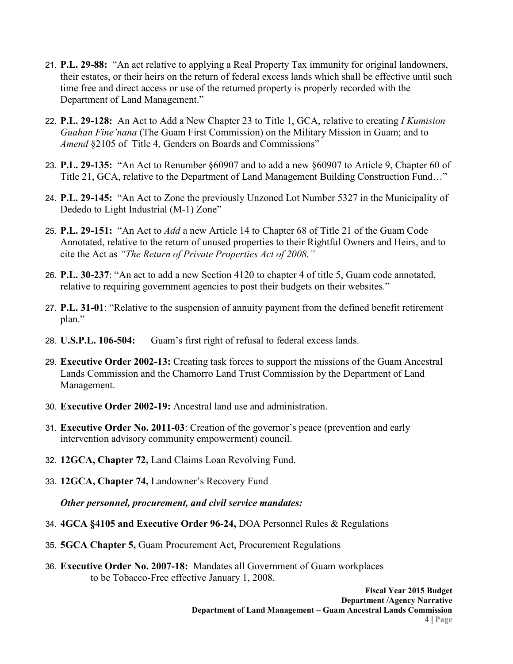- 21. **P.L. 29-88:** "An act relative to applying a Real Property Tax immunity for original landowners, their estates, or their heirs on the return of federal excess lands which shall be effective until such time free and direct access or use of the returned property is properly recorded with the Department of Land Management."
- 22. **P.L. 29-128:** An Act to Add a New Chapter 23 to Title 1, GCA, relative to creating *I Kumision Guahan Fine'nana* (The Guam First Commission) on the Military Mission in Guam; and to *Amend* §2105 of Title 4, Genders on Boards and Commissions"
- 23. **P.L. 29-135:** "An Act to Renumber §60907 and to add a new §60907 to Article 9, Chapter 60 of Title 21, GCA, relative to the Department of Land Management Building Construction Fund…"
- 24. **P.L. 29-145:** "An Act to Zone the previously Unzoned Lot Number 5327 in the Municipality of Dededo to Light Industrial (M-1) Zone"
- 25. **P.L. 29-151:** "An Act to *Add* a new Article 14 to Chapter 68 of Title 21 of the Guam Code Annotated, relative to the return of unused properties to their Rightful Owners and Heirs, and to cite the Act as *"The Return of Private Properties Act of 2008."*
- 26. **P.L. 30-237**: "An act to add a new Section 4120 to chapter 4 of title 5, Guam code annotated, relative to requiring government agencies to post their budgets on their websites."
- 27. **P.L. 31-01**: "Relative to the suspension of annuity payment from the defined benefit retirement plan."
- 28. **U.S.P.L. 106-504:** Guam's first right of refusal to federal excess lands.
- 29. **Executive Order 2002-13:** Creating task forces to support the missions of the Guam Ancestral Lands Commission and the Chamorro Land Trust Commission by the Department of Land Management.
- 30. **Executive Order 2002-19:** Ancestral land use and administration.
- 31. **Executive Order No. 2011-03**: Creation of the governor's peace (prevention and early intervention advisory community empowerment) council.
- 32. **12GCA, Chapter 72,** Land Claims Loan Revolving Fund.
- 33. **12GCA, Chapter 74,** Landowner's Recovery Fund

*Other personnel, procurement, and civil service mandates:*

- 34. **4GCA §4105 and Executive Order 96-24,** DOA Personnel Rules & Regulations
- 35. **5GCA Chapter 5,** Guam Procurement Act, Procurement Regulations
- 36. **Executive Order No. 2007-18:** Mandates all Government of Guam workplaces to be Tobacco-Free effective January 1, 2008.

**Fiscal Year 2015 Budget Department /Agency Narrative Department of Land Management – Guam Ancestral Lands Commission**  4 **| Page**